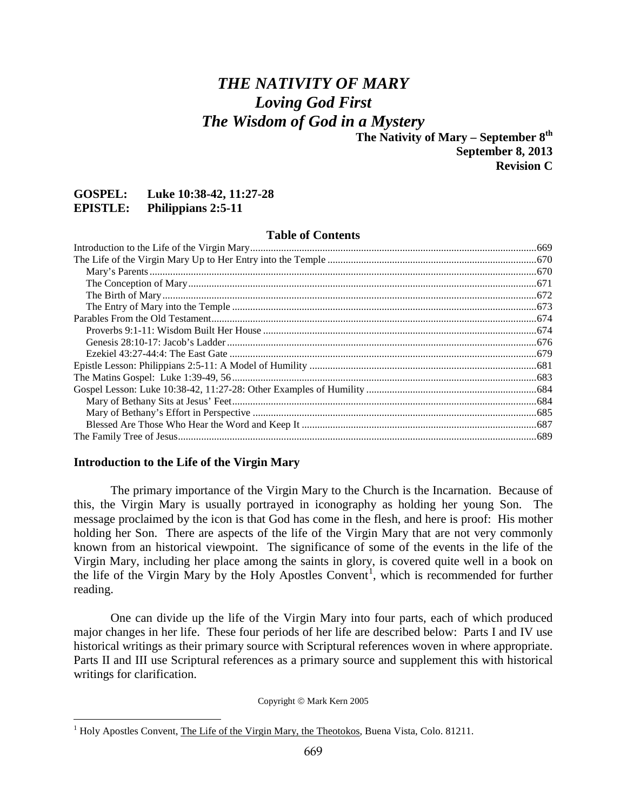## *THE NATIVITY OF MARY Loving God First The Wisdom of God in a Mystery*

**The Nativity of Mary – September 8th September 8, 2013 Revision C**

#### **GOSPEL: Luke 10:38-42, 11:27-28 EPISTLE: Philippians 2:5-11**

#### **Table of Contents**

#### <span id="page-0-0"></span>**Introduction to the Life of the Virgin Mary**

 $\overline{a}$ 

The primary importance of the Virgin Mary to the Church is the Incarnation. Because of this, the Virgin Mary is usually portrayed in iconography as holding her young Son. The message proclaimed by the icon is that God has come in the flesh, and here is proof: His mother holding her Son. There are aspects of the life of the Virgin Mary that are not very commonly known from an historical viewpoint. The significance of some of the events in the life of the Virgin Mary, including her place among the saints in glory, is covered quite well in a book on the life of the Virgin Mary by the Holy Apostles Convent<sup>[1](#page-0-1)</sup>, which is recommended for further reading.

One can divide up the life of the Virgin Mary into four parts, each of which produced major changes in her life. These four periods of her life are described below: Parts I and IV use historical writings as their primary source with Scriptural references woven in where appropriate. Parts II and III use Scriptural references as a primary source and supplement this with historical writings for clarification.

Copyright © Mark Kern 2005

<span id="page-0-1"></span><sup>&</sup>lt;sup>1</sup> Holy Apostles Convent, The Life of the Virgin Mary, the Theotokos, Buena Vista, Colo. 81211.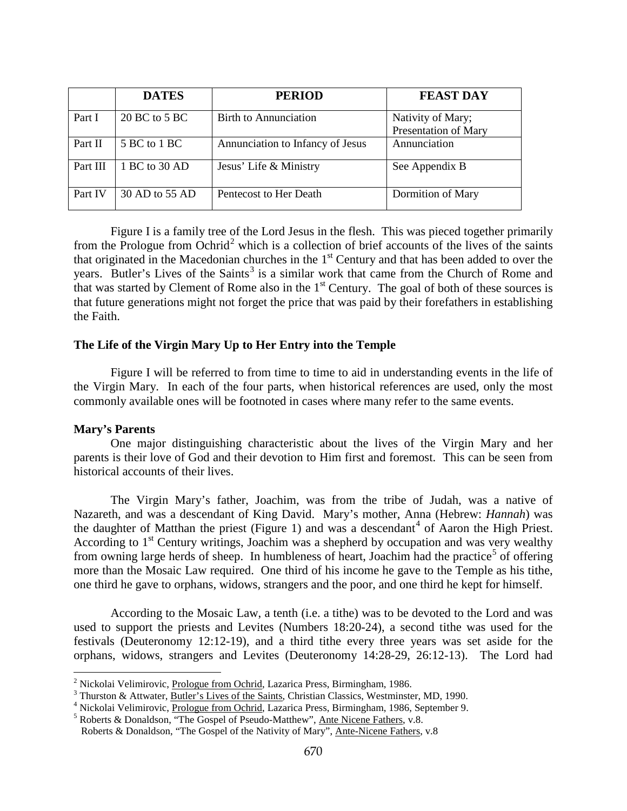|          | <b>DATES</b>   | <b>PERIOD</b>                    | <b>FEAST DAY</b>                          |
|----------|----------------|----------------------------------|-------------------------------------------|
| Part I   | 20 BC to 5 BC  | <b>Birth to Annunciation</b>     | Nativity of Mary;<br>Presentation of Mary |
| Part II  | 5 BC to 1 BC   | Annunciation to Infancy of Jesus | Annunciation                              |
| Part III | 1 BC to 30 AD  | Jesus' Life & Ministry           | See Appendix B                            |
| Part IV  | 30 AD to 55 AD | Pentecost to Her Death           | Dormition of Mary                         |

Figure I is a family tree of the Lord Jesus in the flesh. This was pieced together primarily from the Prologue from Ochrid<sup>[2](#page-1-2)</sup> which is a collection of brief accounts of the lives of the saints that originated in the Macedonian churches in the 1<sup>st</sup> Century and that has been added to over the years. Butler's Lives of the Saints<sup>[3](#page-1-3)</sup> is a similar work that came from the Church of Rome and that was started by Clement of Rome also in the  $1<sup>st</sup>$  Century. The goal of both of these sources is that future generations might not forget the price that was paid by their forefathers in establishing the Faith.

#### <span id="page-1-0"></span>**The Life of the Virgin Mary Up to Her Entry into the Temple**

Figure I will be referred to from time to time to aid in understanding events in the life of the Virgin Mary. In each of the four parts, when historical references are used, only the most commonly available ones will be footnoted in cases where many refer to the same events.

#### <span id="page-1-1"></span>**Mary's Parents**

 $\overline{a}$ 

One major distinguishing characteristic about the lives of the Virgin Mary and her parents is their love of God and their devotion to Him first and foremost. This can be seen from historical accounts of their lives.

The Virgin Mary's father, Joachim, was from the tribe of Judah, was a native of Nazareth, and was a descendant of King David. Mary's mother, Anna (Hebrew: *Hannah*) was the daughter of Matthan the priest (Figure 1) and was a descendant<sup>[4](#page-1-4)</sup> of Aaron the High Priest. According to  $1<sup>st</sup>$  Century writings, Joachim was a shepherd by occupation and was very wealthy from owning large herds of sheep. In humbleness of heart, Joachim had the practice<sup>[5](#page-1-5)</sup> of offering more than the Mosaic Law required. One third of his income he gave to the Temple as his tithe, one third he gave to orphans, widows, strangers and the poor, and one third he kept for himself.

According to the Mosaic Law, a tenth (i.e. a tithe) was to be devoted to the Lord and was used to support the priests and Levites (Numbers 18:20-24), a second tithe was used for the festivals (Deuteronomy 12:12-19), and a third tithe every three years was set aside for the orphans, widows, strangers and Levites (Deuteronomy 14:28-29, 26:12-13). The Lord had

<span id="page-1-3"></span><span id="page-1-2"></span><sup>&</sup>lt;sup>2</sup> Nickolai Velimirovic, <u>Prologue from Ochrid</u>, Lazarica Press, Birmingham, 1986.<br><sup>3</sup> Thurston & Attwater, <u>Butler's Lives of the Saints</u>, Christian Classics, Westminster, MD, 1990.<br><sup>4</sup> Nickolai Velimirovic, <u>Prologue f</u>

<span id="page-1-4"></span>

<span id="page-1-5"></span>Roberts & Donaldson, "The Gospel of the Nativity of Mary", Ante-Nicene Fathers, v.8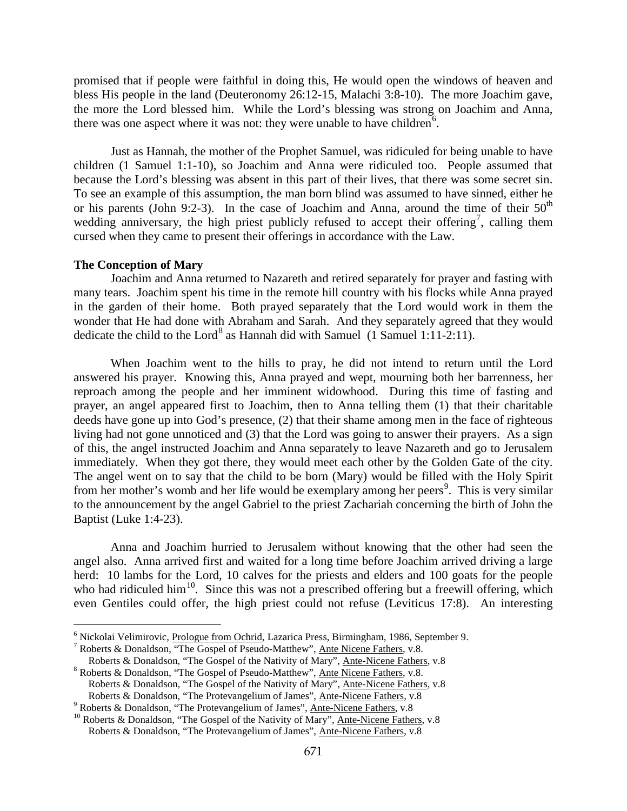promised that if people were faithful in doing this, He would open the windows of heaven and bless His people in the land (Deuteronomy 26:12-15, Malachi 3:8-10). The more Joachim gave, the more the Lord blessed him. While the Lord's blessing was strong on Joachim and Anna, there was one aspect where it was not: they were unable to have children<sup>[6](#page-2-1)</sup>.

Just as Hannah, the mother of the Prophet Samuel, was ridiculed for being unable to have children (1 Samuel 1:1-10), so Joachim and Anna were ridiculed too. People assumed that because the Lord's blessing was absent in this part of their lives, that there was some secret sin. To see an example of this assumption, the man born blind was assumed to have sinned, either he or his parents (John 9:2-3). In the case of Joachim and Anna, around the time of their  $50<sup>th</sup>$ wedding anniversary, the high priest publicly refused to accept their offering<sup>[7](#page-2-2)</sup>, calling them cursed when they came to present their offerings in accordance with the Law.

#### <span id="page-2-0"></span>**The Conception of Mary**

 $\overline{a}$ 

Joachim and Anna returned to Nazareth and retired separately for prayer and fasting with many tears. Joachim spent his time in the remote hill country with his flocks while Anna prayed in the garden of their home. Both prayed separately that the Lord would work in them the wonder that He had done with Abraham and Sarah. And they separately agreed that they would dedicate the child to the Lord<sup>[8](#page-2-3)</sup> as Hannah did with Samuel  $(1 \text{ Samuel } 1:11-2:11)$ .

When Joachim went to the hills to pray, he did not intend to return until the Lord answered his prayer. Knowing this, Anna prayed and wept, mourning both her barrenness, her reproach among the people and her imminent widowhood. During this time of fasting and prayer, an angel appeared first to Joachim, then to Anna telling them (1) that their charitable deeds have gone up into God's presence, (2) that their shame among men in the face of righteous living had not gone unnoticed and (3) that the Lord was going to answer their prayers. As a sign of this, the angel instructed Joachim and Anna separately to leave Nazareth and go to Jerusalem immediately. When they got there, they would meet each other by the Golden Gate of the city. The angel went on to say that the child to be born (Mary) would be filled with the Holy Spirit from her mother's womb and her life would be exemplary among her peers<sup>[9](#page-2-4)</sup>. This is very similar to the announcement by the angel Gabriel to the priest Zachariah concerning the birth of John the Baptist (Luke 1:4-23).

Anna and Joachim hurried to Jerusalem without knowing that the other had seen the angel also. Anna arrived first and waited for a long time before Joachim arrived driving a large herd: 10 lambs for the Lord, 10 calves for the priests and elders and 100 goats for the people who had ridiculed him<sup>10</sup>. Since this was not a prescribed offering but a freewill offering, which even Gentiles could offer, the high priest could not refuse (Leviticus 17:8). An interesting

<span id="page-2-2"></span>

<span id="page-2-1"></span><sup>&</sup>lt;sup>6</sup> Nickolai Velimirovic, <u>Prologue from Ochrid</u>, Lazarica Press, Birmingham, 1986, September 9.<br><sup>7</sup> Roberts & Donaldson, "The Gospel of Pseudo-Matthew", <u>Ante Nicene Fathers</u>, v.8.<br>Roberts & Donaldson, "The Gospel of the

<span id="page-2-3"></span> $8$  Roberts & Donaldson, "The Gospel of Pseudo-Matthew", Ante Nicene Fathers, v.8.

Roberts & Donaldson, "The Gospel of the Nativity of Mary", Ante-Nicene Fathers, v.8<br>Roberts & Donaldson, "The Protevangelium of James", Ante-Nicene Fathers, v.8

<span id="page-2-5"></span><span id="page-2-4"></span><sup>&</sup>lt;sup>9</sup> Roberts & Donaldson, "The Protevangelium of James", Ante-Nicene Fathers, v.8<br><sup>10</sup> Roberts & Donaldson, "The Gospel of the Nativity of Mary", <u>Ante-Nicene Fathers</u>, v.8 Roberts & Donaldson, "The Protevangelium of James", Ante-Nicene Fathers, v.8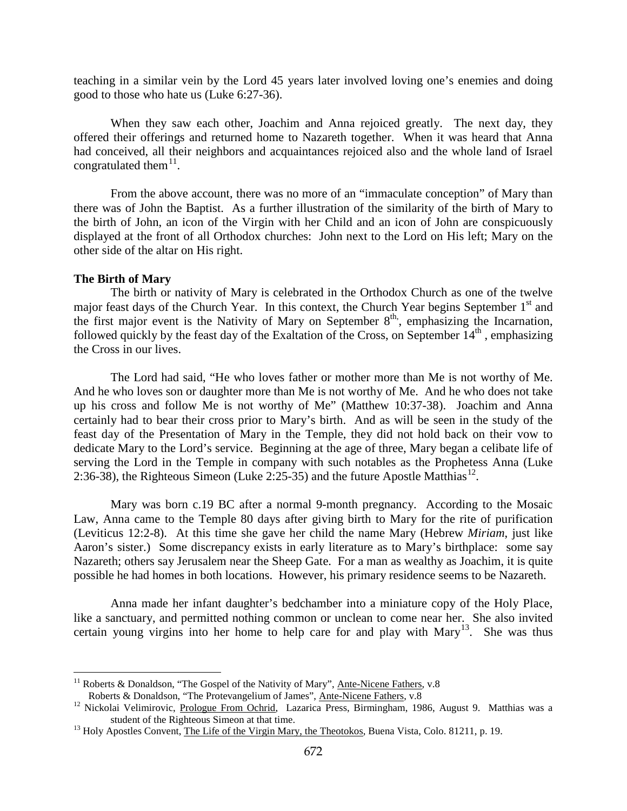teaching in a similar vein by the Lord 45 years later involved loving one's enemies and doing good to those who hate us (Luke 6:27-36).

When they saw each other, Joachim and Anna rejoiced greatly. The next day, they offered their offerings and returned home to Nazareth together. When it was heard that Anna had conceived, all their neighbors and acquaintances rejoiced also and the whole land of Israel congratulated them $^{11}$ .

From the above account, there was no more of an "immaculate conception" of Mary than there was of John the Baptist. As a further illustration of the similarity of the birth of Mary to the birth of John, an icon of the Virgin with her Child and an icon of John are conspicuously displayed at the front of all Orthodox churches: John next to the Lord on His left; Mary on the other side of the altar on His right.

#### <span id="page-3-0"></span>**The Birth of Mary**

 $\overline{a}$ 

The birth or nativity of Mary is celebrated in the Orthodox Church as one of the twelve major feast days of the Church Year. In this context, the Church Year begins September 1<sup>st</sup> and the first major event is the Nativity of Mary on September  $8<sup>th</sup>$ , emphasizing the Incarnation, followed quickly by the feast day of the Exaltation of the Cross, on September  $14<sup>th</sup>$ , emphasizing the Cross in our lives.

The Lord had said, "He who loves father or mother more than Me is not worthy of Me. And he who loves son or daughter more than Me is not worthy of Me. And he who does not take up his cross and follow Me is not worthy of Me" (Matthew 10:37-38). Joachim and Anna certainly had to bear their cross prior to Mary's birth. And as will be seen in the study of the feast day of the Presentation of Mary in the Temple, they did not hold back on their vow to dedicate Mary to the Lord's service. Beginning at the age of three, Mary began a celibate life of serving the Lord in the Temple in company with such notables as the Prophetess Anna (Luke 2:36-38), the Righteous Simeon (Luke 2:25-35) and the future Apostle Matthias<sup>12</sup>.

Mary was born c.19 BC after a normal 9-month pregnancy. According to the Mosaic Law, Anna came to the Temple 80 days after giving birth to Mary for the rite of purification (Leviticus 12:2-8). At this time she gave her child the name Mary (Hebrew *Miriam*, just like Aaron's sister.) Some discrepancy exists in early literature as to Mary's birthplace: some say Nazareth; others say Jerusalem near the Sheep Gate. For a man as wealthy as Joachim, it is quite possible he had homes in both locations. However, his primary residence seems to be Nazareth.

Anna made her infant daughter's bedchamber into a miniature copy of the Holy Place, like a sanctuary, and permitted nothing common or unclean to come near her. She also invited certain young virgins into her home to help care for and play with Mary<sup>13</sup>. She was thus

<span id="page-3-1"></span><sup>&</sup>lt;sup>11</sup> Roberts & Donaldson, "The Gospel of the Nativity of Mary",  $\overline{\text{Ante-Nicene }F\text{athers}}$ , v.8<br>Roberts & Donaldson, "The Protevangelium of James", Ante-Nicene Fathers, v.8

<span id="page-3-2"></span><sup>12</sup> Nickolai Velimirovic, <u>Prologue From Ochrid</u>, Lazarica Press, Birmingham, 1986, August 9. Matthias was a student of the Righteous Simeon at that time.

<span id="page-3-3"></span><sup>&</sup>lt;sup>13</sup> Holy Apostles Convent, <u>The Life of the Virgin Mary, the Theotokos</u>, Buena Vista, Colo. 81211, p. 19.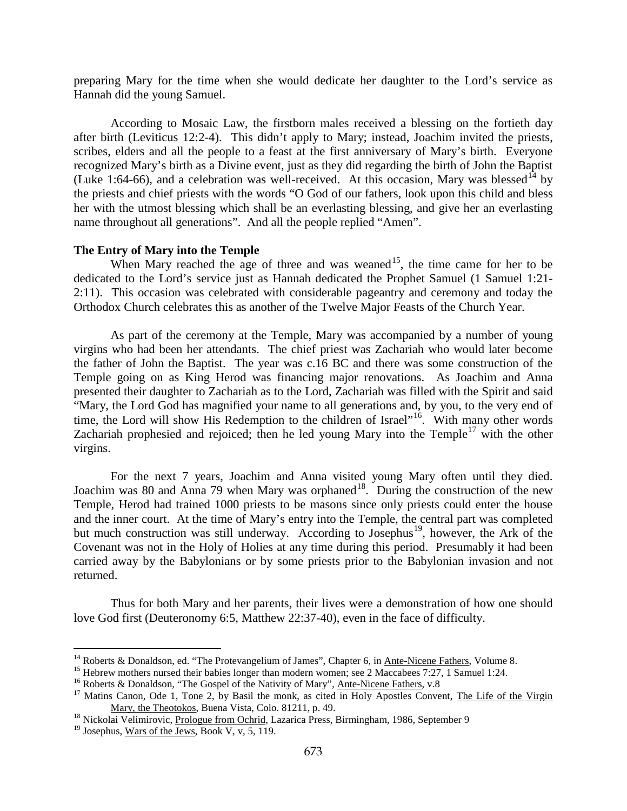preparing Mary for the time when she would dedicate her daughter to the Lord's service as Hannah did the young Samuel.

According to Mosaic Law, the firstborn males received a blessing on the fortieth day after birth (Leviticus 12:2-4). This didn't apply to Mary; instead, Joachim invited the priests, scribes, elders and all the people to a feast at the first anniversary of Mary's birth. Everyone recognized Mary's birth as a Divine event, just as they did regarding the birth of John the Baptist (Luke 1:64-66), and a celebration was well-received. At this occasion, Mary was blessed<sup>[14](#page-4-1)</sup> by the priests and chief priests with the words "O God of our fathers, look upon this child and bless her with the utmost blessing which shall be an everlasting blessing, and give her an everlasting name throughout all generations". And all the people replied "Amen".

#### <span id="page-4-0"></span>**The Entry of Mary into the Temple**

When Mary reached the age of three and was weaned<sup>[15](#page-4-2)</sup>, the time came for her to be dedicated to the Lord's service just as Hannah dedicated the Prophet Samuel (1 Samuel 1:21- 2:11). This occasion was celebrated with considerable pageantry and ceremony and today the Orthodox Church celebrates this as another of the Twelve Major Feasts of the Church Year.

As part of the ceremony at the Temple, Mary was accompanied by a number of young virgins who had been her attendants. The chief priest was Zachariah who would later become the father of John the Baptist. The year was c.16 BC and there was some construction of the Temple going on as King Herod was financing major renovations. As Joachim and Anna presented their daughter to Zachariah as to the Lord, Zachariah was filled with the Spirit and said "Mary, the Lord God has magnified your name to all generations and, by you, to the very end of time, the Lord will show His Redemption to the children of Israel"<sup>[16](#page-4-3)</sup>. With many other words Zachariah prophesied and rejoiced; then he led young Mary into the Temple<sup>[17](#page-4-4)</sup> with the other virgins.

For the next 7 years, Joachim and Anna visited young Mary often until they died. Joachim was 80 and Anna 79 when Mary was orphaned<sup>[18](#page-4-5)</sup>. During the construction of the new Temple, Herod had trained 1000 priests to be masons since only priests could enter the house and the inner court. At the time of Mary's entry into the Temple, the central part was completed but much construction was still underway. According to Josephus<sup>19</sup>, however, the Ark of the Covenant was not in the Holy of Holies at any time during this period. Presumably it had been carried away by the Babylonians or by some priests prior to the Babylonian invasion and not returned.

Thus for both Mary and her parents, their lives were a demonstration of how one should love God first (Deuteronomy 6:5, Matthew 22:37-40), even in the face of difficulty.

<span id="page-4-3"></span><span id="page-4-2"></span><span id="page-4-1"></span>

<span id="page-4-4"></span>

<sup>&</sup>lt;sup>14</sup> Roberts & Donaldson, ed. "The Protevangelium of James", Chapter 6, in <u>Ante-Nicene Fathers</u>, Volume 8.<br><sup>15</sup> Hebrew mothers nursed their babies longer than modern women; see 2 Maccabees 7:27, 1 Samuel 1:24.<br><sup>16</sup> Rober

<span id="page-4-5"></span><sup>&</sup>lt;sup>18</sup> Nickolai Velimirovic, Prologue from Ochrid, Lazarica Press, Birmingham, 1986, September 9

<span id="page-4-6"></span> $19$  Josephus, Wars of the Jews, Book V, v, 5, 119.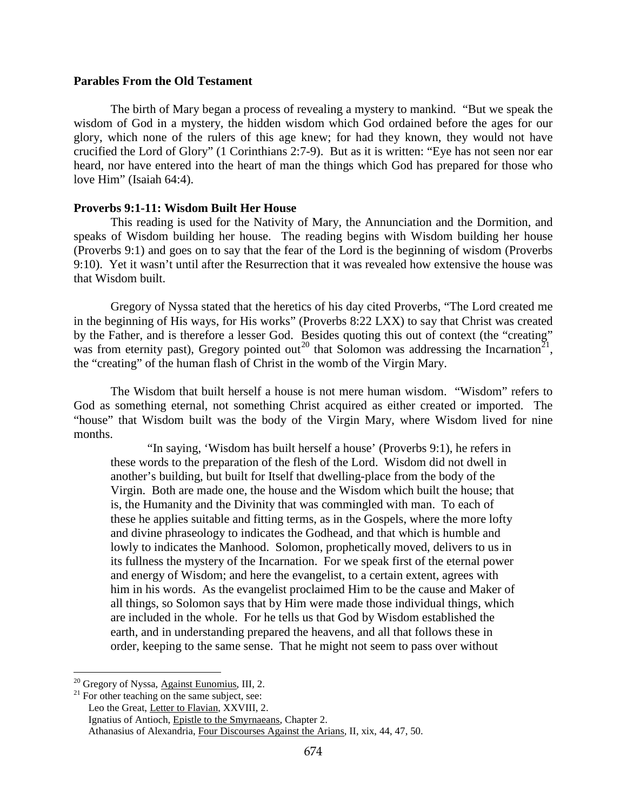#### <span id="page-5-0"></span>**Parables From the Old Testament**

The birth of Mary began a process of revealing a mystery to mankind. "But we speak the wisdom of God in a mystery, the hidden wisdom which God ordained before the ages for our glory, which none of the rulers of this age knew; for had they known, they would not have crucified the Lord of Glory" (1 Corinthians 2:7-9). But as it is written: "Eye has not seen nor ear heard, nor have entered into the heart of man the things which God has prepared for those who love Him" (Isaiah 64:4).

#### <span id="page-5-1"></span>**Proverbs 9:1-11: Wisdom Built Her House**

This reading is used for the Nativity of Mary, the Annunciation and the Dormition, and speaks of Wisdom building her house. The reading begins with Wisdom building her house (Proverbs 9:1) and goes on to say that the fear of the Lord is the beginning of wisdom (Proverbs 9:10). Yet it wasn't until after the Resurrection that it was revealed how extensive the house was that Wisdom built.

Gregory of Nyssa stated that the heretics of his day cited Proverbs, "The Lord created me in the beginning of His ways, for His works" (Proverbs 8:22 LXX) to say that Christ was created by the Father, and is therefore a lesser God. Besides quoting this out of context (the "creating" was from eternity past), Gregory pointed out<sup>[20](#page-5-2)</sup> that Solomon was addressing the Incarnation<sup>[21](#page-5-3)</sup>, the "creating" of the human flash of Christ in the womb of the Virgin Mary.

The Wisdom that built herself a house is not mere human wisdom. "Wisdom" refers to God as something eternal, not something Christ acquired as either created or imported. The "house" that Wisdom built was the body of the Virgin Mary, where Wisdom lived for nine months.

"In saying, 'Wisdom has built herself a house' (Proverbs 9:1), he refers in these words to the preparation of the flesh of the Lord. Wisdom did not dwell in another's building, but built for Itself that dwelling-place from the body of the Virgin. Both are made one, the house and the Wisdom which built the house; that is, the Humanity and the Divinity that was commingled with man. To each of these he applies suitable and fitting terms, as in the Gospels, where the more lofty and divine phraseology to indicates the Godhead, and that which is humble and lowly to indicates the Manhood. Solomon, prophetically moved, delivers to us in its fullness the mystery of the Incarnation. For we speak first of the eternal power and energy of Wisdom; and here the evangelist, to a certain extent, agrees with him in his words. As the evangelist proclaimed Him to be the cause and Maker of all things, so Solomon says that by Him were made those individual things, which are included in the whole. For he tells us that God by Wisdom established the earth, and in understanding prepared the heavens, and all that follows these in order, keeping to the same sense. That he might not seem to pass over without

<span id="page-5-3"></span><span id="page-5-2"></span><sup>&</sup>lt;sup>20</sup> Gregory of Nyssa,  $\frac{Against \text{ Eunomius}}{2}$  III, 2.<br><sup>21</sup> For other teaching on the same subject, see:

Leo the Great, Letter to Flavian, XXVIII, 2. Ignatius of Antioch, Epistle to the Smyrnaeans, Chapter 2. Athanasius of Alexandria, Four Discourses Against the Arians, II, xix, 44, 47, 50.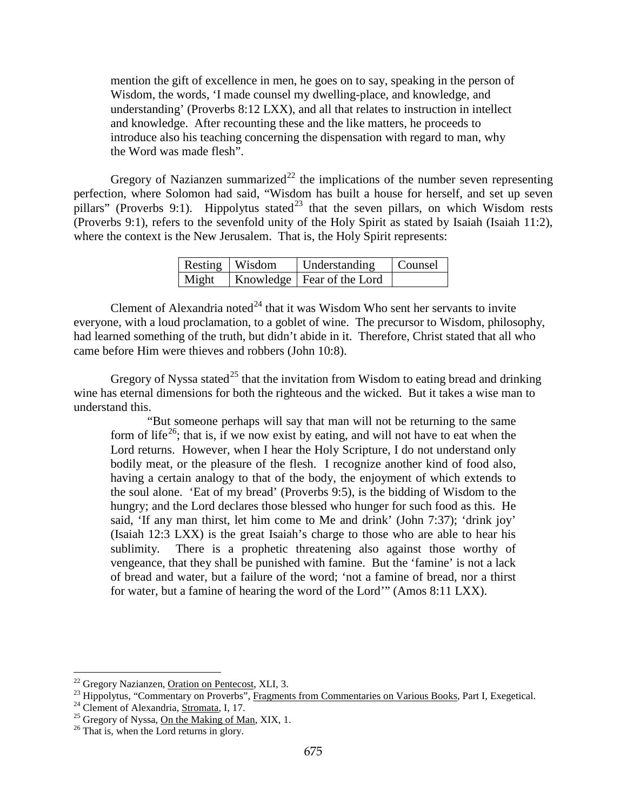mention the gift of excellence in men, he goes on to say, speaking in the person of Wisdom, the words, 'I made counsel my dwelling-place, and knowledge, and understanding' (Proverbs 8:12 LXX), and all that relates to instruction in intellect and knowledge. After recounting these and the like matters, he proceeds to introduce also his teaching concerning the dispensation with regard to man, why the Word was made flesh".

Gregory of Nazianzen summarized<sup>[22](#page-6-0)</sup> the implications of the number seven representing perfection, where Solomon had said, "Wisdom has built a house for herself, and set up seven pillars" (Proverbs 9:1). Hippolytus stated $^{23}$  $^{23}$  $^{23}$  that the seven pillars, on which Wisdom rests (Proverbs 9:1), refers to the sevenfold unity of the Holy Spirit as stated by Isaiah (Isaiah 11:2), where the context is the New Jerusalem. That is, the Holy Spirit represents:

| Resting   Wisdom | Understanding                | Counsel |
|------------------|------------------------------|---------|
| Might            | Knowledge   Fear of the Lord |         |

Clement of Alexandria noted<sup>[24](#page-6-2)</sup> that it was Wisdom Who sent her servants to invite everyone, with a loud proclamation, to a goblet of wine. The precursor to Wisdom, philosophy, had learned something of the truth, but didn't abide in it. Therefore, Christ stated that all who came before Him were thieves and robbers (John 10:8).

Gregory of Nyssa stated<sup>[25](#page-6-3)</sup> that the invitation from Wisdom to eating bread and drinking wine has eternal dimensions for both the righteous and the wicked. But it takes a wise man to understand this.

"But someone perhaps will say that man will not be returning to the same form of life<sup>26</sup>; that is, if we now exist by eating, and will not have to eat when the Lord returns. However, when I hear the Holy Scripture, I do not understand only bodily meat, or the pleasure of the flesh. I recognize another kind of food also, having a certain analogy to that of the body, the enjoyment of which extends to the soul alone. 'Eat of my bread' (Proverbs 9:5), is the bidding of Wisdom to the hungry; and the Lord declares those blessed who hunger for such food as this. He said, 'If any man thirst, let him come to Me and drink' (John 7:37); 'drink joy' (Isaiah 12:3 LXX) is the great Isaiah's charge to those who are able to hear his sublimity. There is a prophetic threatening also against those worthy of vengeance, that they shall be punished with famine. But the 'famine' is not a lack of bread and water, but a failure of the word; 'not a famine of bread, nor a thirst for water, but a famine of hearing the word of the Lord'" (Amos 8:11 LXX).

<span id="page-6-0"></span><sup>&</sup>lt;sup>22</sup> Gregory Nazianzen, Oration on Pentecost, XLI, 3.

<span id="page-6-2"></span><span id="page-6-1"></span><sup>&</sup>lt;sup>23</sup> Hippolytus, "Commentary on Proverbs", Fragments from Commentaries on Various Books, Part I, Exegetical.<br><sup>24</sup> Clement of Alexandria, <u>Stromata</u>, I, 17.<br><sup>25</sup> Gregory of Nyssa, <u>On the Making of Man</u>, XIX, 1.<br><sup>25</sup> That

<span id="page-6-4"></span><span id="page-6-3"></span>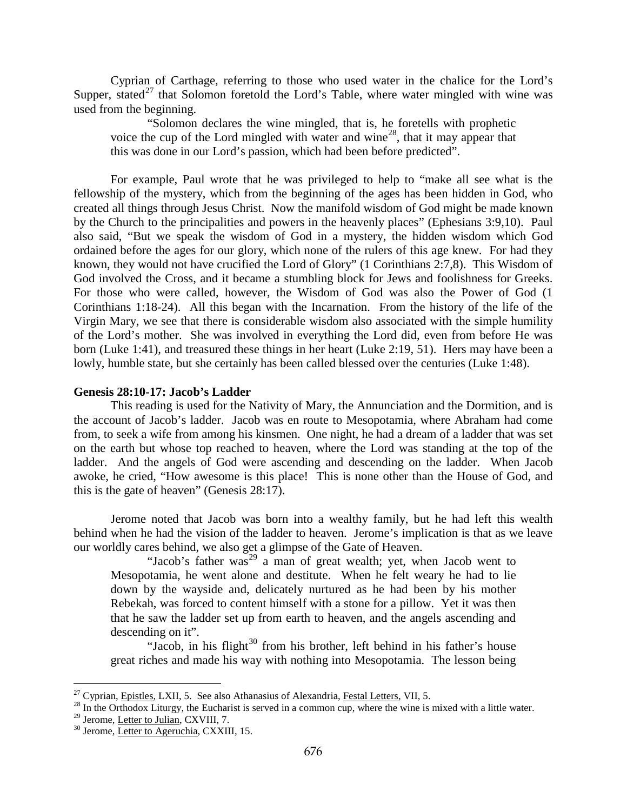Cyprian of Carthage, referring to those who used water in the chalice for the Lord's Supper, stated<sup>[27](#page-7-1)</sup> that Solomon foretold the Lord's Table, where water mingled with wine was used from the beginning.

"Solomon declares the wine mingled, that is, he foretells with prophetic voice the cup of the Lord mingled with water and wine<sup>[28](#page-7-2)</sup>, that it may appear that this was done in our Lord's passion, which had been before predicted".

For example, Paul wrote that he was privileged to help to "make all see what is the fellowship of the mystery, which from the beginning of the ages has been hidden in God, who created all things through Jesus Christ. Now the manifold wisdom of God might be made known by the Church to the principalities and powers in the heavenly places" (Ephesians 3:9,10). Paul also said, "But we speak the wisdom of God in a mystery, the hidden wisdom which God ordained before the ages for our glory, which none of the rulers of this age knew. For had they known, they would not have crucified the Lord of Glory" (1 Corinthians 2:7,8). This Wisdom of God involved the Cross, and it became a stumbling block for Jews and foolishness for Greeks. For those who were called, however, the Wisdom of God was also the Power of God (1 Corinthians 1:18-24). All this began with the Incarnation. From the history of the life of the Virgin Mary, we see that there is considerable wisdom also associated with the simple humility of the Lord's mother. She was involved in everything the Lord did, even from before He was born (Luke 1:41), and treasured these things in her heart (Luke 2:19, 51). Hers may have been a lowly, humble state, but she certainly has been called blessed over the centuries (Luke 1:48).

#### <span id="page-7-0"></span>**Genesis 28:10-17: Jacob's Ladder**

This reading is used for the Nativity of Mary, the Annunciation and the Dormition, and is the account of Jacob's ladder. Jacob was en route to Mesopotamia, where Abraham had come from, to seek a wife from among his kinsmen. One night, he had a dream of a ladder that was set on the earth but whose top reached to heaven, where the Lord was standing at the top of the ladder. And the angels of God were ascending and descending on the ladder. When Jacob awoke, he cried, "How awesome is this place! This is none other than the House of God, and this is the gate of heaven" (Genesis 28:17).

Jerome noted that Jacob was born into a wealthy family, but he had left this wealth behind when he had the vision of the ladder to heaven. Jerome's implication is that as we leave our worldly cares behind, we also get a glimpse of the Gate of Heaven.

"Jacob's father was<sup>[29](#page-7-3)</sup> a man of great wealth; yet, when Jacob went to Mesopotamia, he went alone and destitute. When he felt weary he had to lie down by the wayside and, delicately nurtured as he had been by his mother Rebekah, was forced to content himself with a stone for a pillow. Yet it was then that he saw the ladder set up from earth to heaven, and the angels ascending and descending on it".

"Jacob, in his flight<sup>[30](#page-7-4)</sup> from his brother, left behind in his father's house great riches and made his way with nothing into Mesopotamia. The lesson being

<span id="page-7-2"></span><span id="page-7-1"></span>

<sup>&</sup>lt;sup>27</sup> Cyprian, <u>Epistles</u>, LXII, 5. See also Athanasius of Alexandria, <u>Festal Letters</u>, VII, 5.<br><sup>28</sup> In the Orthodox Liturgy, the Eucharist is served in a common cup, where the wine is mixed with a little water.

<span id="page-7-4"></span><span id="page-7-3"></span><sup>&</sup>lt;sup>29</sup> Jerome, <u>Letter to Julian</u>, CXVIII, 7.<br><sup>30</sup> Jerome, <u>Letter to Ageruchia</u>, CXXIII, 15.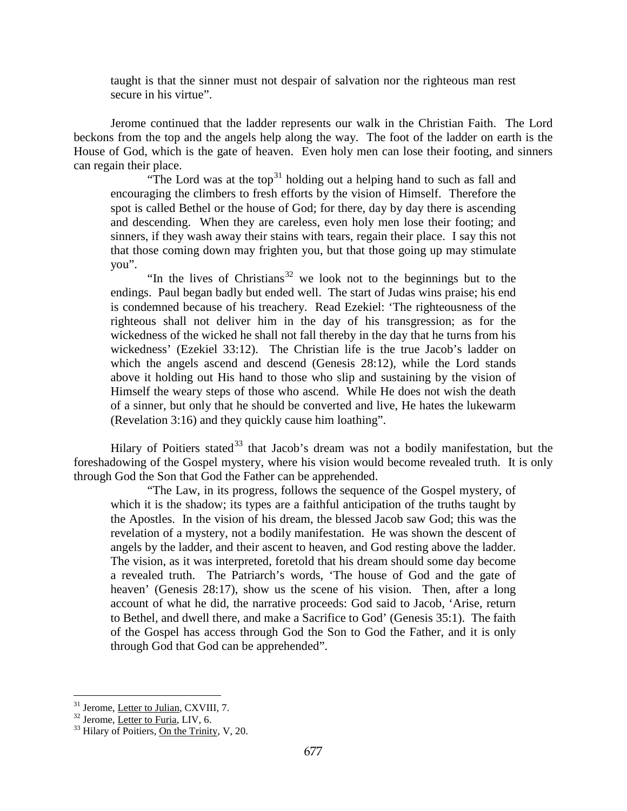taught is that the sinner must not despair of salvation nor the righteous man rest secure in his virtue".

Jerome continued that the ladder represents our walk in the Christian Faith. The Lord beckons from the top and the angels help along the way. The foot of the ladder on earth is the House of God, which is the gate of heaven. Even holy men can lose their footing, and sinners can regain their place.

"The Lord was at the top<sup>[31](#page-8-0)</sup> holding out a helping hand to such as fall and encouraging the climbers to fresh efforts by the vision of Himself. Therefore the spot is called Bethel or the house of God; for there, day by day there is ascending and descending. When they are careless, even holy men lose their footing; and sinners, if they wash away their stains with tears, regain their place. I say this not that those coming down may frighten you, but that those going up may stimulate you".

"In the lives of Christians<sup>[32](#page-8-1)</sup> we look not to the beginnings but to the endings. Paul began badly but ended well. The start of Judas wins praise; his end is condemned because of his treachery. Read Ezekiel: 'The righteousness of the righteous shall not deliver him in the day of his transgression; as for the wickedness of the wicked he shall not fall thereby in the day that he turns from his wickedness' (Ezekiel 33:12). The Christian life is the true Jacob's ladder on which the angels ascend and descend (Genesis 28:12), while the Lord stands above it holding out His hand to those who slip and sustaining by the vision of Himself the weary steps of those who ascend. While He does not wish the death of a sinner, but only that he should be converted and live, He hates the lukewarm (Revelation 3:16) and they quickly cause him loathing".

Hilary of Poitiers stated<sup>[33](#page-8-2)</sup> that Jacob's dream was not a bodily manifestation, but the foreshadowing of the Gospel mystery, where his vision would become revealed truth. It is only through God the Son that God the Father can be apprehended.

"The Law, in its progress, follows the sequence of the Gospel mystery, of which it is the shadow; its types are a faithful anticipation of the truths taught by the Apostles. In the vision of his dream, the blessed Jacob saw God; this was the revelation of a mystery, not a bodily manifestation. He was shown the descent of angels by the ladder, and their ascent to heaven, and God resting above the ladder. The vision, as it was interpreted, foretold that his dream should some day become a revealed truth. The Patriarch's words, 'The house of God and the gate of heaven' (Genesis 28:17), show us the scene of his vision. Then, after a long account of what he did, the narrative proceeds: God said to Jacob, 'Arise, return to Bethel, and dwell there, and make a Sacrifice to God' (Genesis 35:1). The faith of the Gospel has access through God the Son to God the Father, and it is only through God that God can be apprehended".

<span id="page-8-2"></span><span id="page-8-1"></span>

<span id="page-8-0"></span><sup>&</sup>lt;sup>31</sup> Jerome, <u>Letter to Julian</u>, CXVIII, 7.<br><sup>32</sup> Jerome, <u>Letter to Furia</u>, LIV, 6.<br><sup>33</sup> Hilary of Poitiers, <u>On the Trinity</u>, V, 20.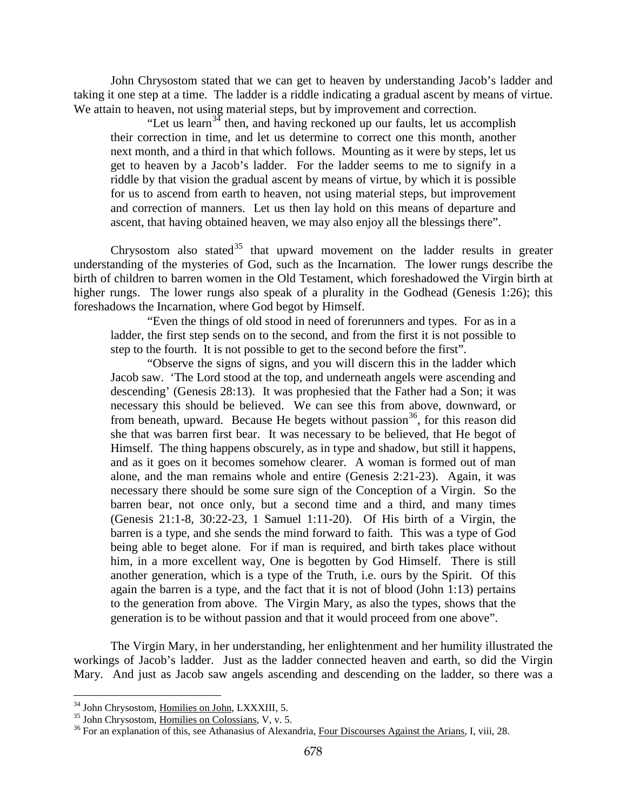John Chrysostom stated that we can get to heaven by understanding Jacob's ladder and taking it one step at a time. The ladder is a riddle indicating a gradual ascent by means of virtue. We attain to heaven, not using material steps, but by improvement and correction.

"Let us learn<sup>[34](#page-9-0)</sup> then, and having reckoned up our faults, let us accomplish their correction in time, and let us determine to correct one this month, another next month, and a third in that which follows. Mounting as it were by steps, let us get to heaven by a Jacob's ladder. For the ladder seems to me to signify in a riddle by that vision the gradual ascent by means of virtue, by which it is possible for us to ascend from earth to heaven, not using material steps, but improvement and correction of manners. Let us then lay hold on this means of departure and ascent, that having obtained heaven, we may also enjoy all the blessings there".

Chrysostom also stated<sup>[35](#page-9-1)</sup> that upward movement on the ladder results in greater understanding of the mysteries of God, such as the Incarnation. The lower rungs describe the birth of children to barren women in the Old Testament, which foreshadowed the Virgin birth at higher rungs. The lower rungs also speak of a plurality in the Godhead (Genesis 1:26); this foreshadows the Incarnation, where God begot by Himself.

"Even the things of old stood in need of forerunners and types. For as in a ladder, the first step sends on to the second, and from the first it is not possible to step to the fourth. It is not possible to get to the second before the first".

"Observe the signs of signs, and you will discern this in the ladder which Jacob saw. 'The Lord stood at the top, and underneath angels were ascending and descending' (Genesis 28:13). It was prophesied that the Father had a Son; it was necessary this should be believed. We can see this from above, downward, or from beneath, upward. Because He begets without passion<sup>36</sup>, for this reason did she that was barren first bear. It was necessary to be believed, that He begot of Himself. The thing happens obscurely, as in type and shadow, but still it happens, and as it goes on it becomes somehow clearer. A woman is formed out of man alone, and the man remains whole and entire (Genesis 2:21-23). Again, it was necessary there should be some sure sign of the Conception of a Virgin. So the barren bear, not once only, but a second time and a third, and many times (Genesis 21:1-8, 30:22-23, 1 Samuel 1:11-20). Of His birth of a Virgin, the barren is a type, and she sends the mind forward to faith. This was a type of God being able to beget alone. For if man is required, and birth takes place without him, in a more excellent way, One is begotten by God Himself. There is still another generation, which is a type of the Truth, i.e. ours by the Spirit. Of this again the barren is a type, and the fact that it is not of blood (John 1:13) pertains to the generation from above. The Virgin Mary, as also the types, shows that the generation is to be without passion and that it would proceed from one above".

The Virgin Mary, in her understanding, her enlightenment and her humility illustrated the workings of Jacob's ladder. Just as the ladder connected heaven and earth, so did the Virgin Mary. And just as Jacob saw angels ascending and descending on the ladder, so there was a

<span id="page-9-0"></span> $34$  John Chrysostom, <u>Homilies on John</u>, LXXXIII, 5.<br> $35$  John Chrysostom, <u>Homilies on Colossians</u>, V, v. 5.

<span id="page-9-2"></span><span id="page-9-1"></span> $36$  For an explanation of this, see Athanasius of Alexandria, Four Discourses Against the Arians, I, viii, 28.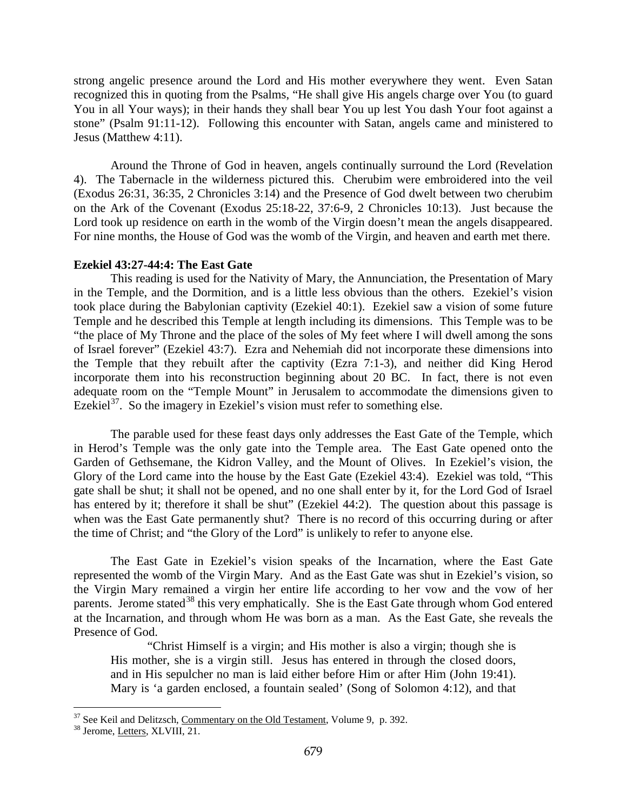strong angelic presence around the Lord and His mother everywhere they went. Even Satan recognized this in quoting from the Psalms, "He shall give His angels charge over You (to guard You in all Your ways); in their hands they shall bear You up lest You dash Your foot against a stone" (Psalm 91:11-12). Following this encounter with Satan, angels came and ministered to Jesus (Matthew 4:11).

Around the Throne of God in heaven, angels continually surround the Lord (Revelation 4). The Tabernacle in the wilderness pictured this. Cherubim were embroidered into the veil (Exodus 26:31, 36:35, 2 Chronicles 3:14) and the Presence of God dwelt between two cherubim on the Ark of the Covenant (Exodus 25:18-22, 37:6-9, 2 Chronicles 10:13). Just because the Lord took up residence on earth in the womb of the Virgin doesn't mean the angels disappeared. For nine months, the House of God was the womb of the Virgin, and heaven and earth met there.

#### <span id="page-10-0"></span>**Ezekiel 43:27-44:4: The East Gate**

This reading is used for the Nativity of Mary, the Annunciation, the Presentation of Mary in the Temple, and the Dormition, and is a little less obvious than the others. Ezekiel's vision took place during the Babylonian captivity (Ezekiel 40:1). Ezekiel saw a vision of some future Temple and he described this Temple at length including its dimensions. This Temple was to be "the place of My Throne and the place of the soles of My feet where I will dwell among the sons of Israel forever" (Ezekiel 43:7). Ezra and Nehemiah did not incorporate these dimensions into the Temple that they rebuilt after the captivity (Ezra 7:1-3), and neither did King Herod incorporate them into his reconstruction beginning about 20 BC. In fact, there is not even adequate room on the "Temple Mount" in Jerusalem to accommodate the dimensions given to Ezekiel<sup>37</sup>. So the imagery in Ezekiel's vision must refer to something else.

The parable used for these feast days only addresses the East Gate of the Temple, which in Herod's Temple was the only gate into the Temple area. The East Gate opened onto the Garden of Gethsemane, the Kidron Valley, and the Mount of Olives. In Ezekiel's vision, the Glory of the Lord came into the house by the East Gate (Ezekiel 43:4). Ezekiel was told, "This gate shall be shut; it shall not be opened, and no one shall enter by it, for the Lord God of Israel has entered by it; therefore it shall be shut" (Ezekiel 44:2). The question about this passage is when was the East Gate permanently shut? There is no record of this occurring during or after the time of Christ; and "the Glory of the Lord" is unlikely to refer to anyone else.

The East Gate in Ezekiel's vision speaks of the Incarnation, where the East Gate represented the womb of the Virgin Mary. And as the East Gate was shut in Ezekiel's vision, so the Virgin Mary remained a virgin her entire life according to her vow and the vow of her parents. Jerome stated<sup>[38](#page-10-2)</sup> this very emphatically. She is the East Gate through whom God entered at the Incarnation, and through whom He was born as a man. As the East Gate, she reveals the Presence of God.

"Christ Himself is a virgin; and His mother is also a virgin; though she is His mother, she is a virgin still. Jesus has entered in through the closed doors, and in His sepulcher no man is laid either before Him or after Him (John 19:41). Mary is 'a garden enclosed, a fountain sealed' (Song of Solomon 4:12), and that

<span id="page-10-1"></span><sup>&</sup>lt;sup>37</sup> See Keil and Delitzsch, <u>Commentary on the Old Testament</u>, Volume 9, p. 392. Jerome, <u>Letters</u>, XLVIII, 21.

<span id="page-10-2"></span>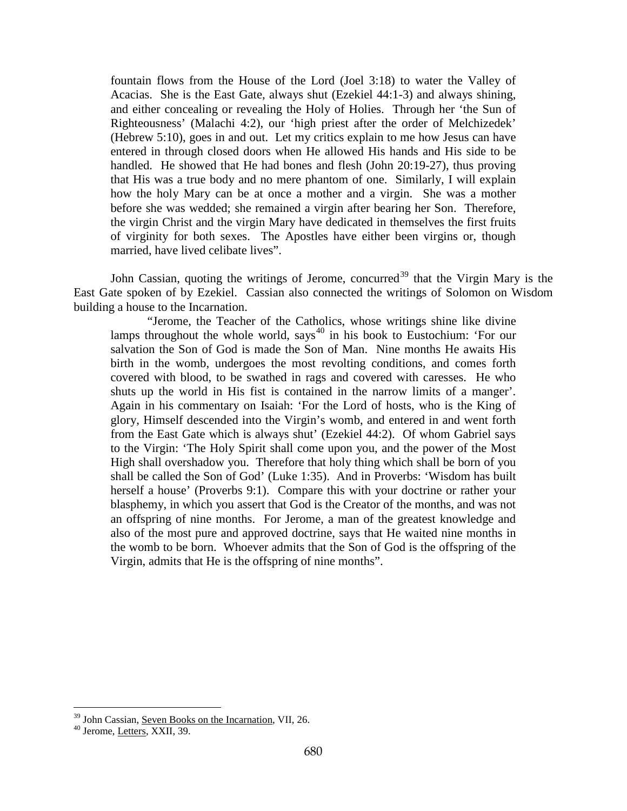fountain flows from the House of the Lord (Joel 3:18) to water the Valley of Acacias. She is the East Gate, always shut (Ezekiel 44:1-3) and always shining, and either concealing or revealing the Holy of Holies. Through her 'the Sun of Righteousness' (Malachi 4:2), our 'high priest after the order of Melchizedek' (Hebrew 5:10), goes in and out. Let my critics explain to me how Jesus can have entered in through closed doors when He allowed His hands and His side to be handled. He showed that He had bones and flesh (John 20:19-27), thus proving that His was a true body and no mere phantom of one. Similarly, I will explain how the holy Mary can be at once a mother and a virgin. She was a mother before she was wedded; she remained a virgin after bearing her Son. Therefore, the virgin Christ and the virgin Mary have dedicated in themselves the first fruits of virginity for both sexes. The Apostles have either been virgins or, though married, have lived celibate lives".

John Cassian, quoting the writings of Jerome, concurred<sup>[39](#page-11-0)</sup> that the Virgin Mary is the East Gate spoken of by Ezekiel. Cassian also connected the writings of Solomon on Wisdom building a house to the Incarnation.

"Jerome, the Teacher of the Catholics, whose writings shine like divine lamps throughout the whole world,  $says^{40}$  $says^{40}$  $says^{40}$  in his book to Eustochium: 'For our salvation the Son of God is made the Son of Man. Nine months He awaits His birth in the womb, undergoes the most revolting conditions, and comes forth covered with blood, to be swathed in rags and covered with caresses. He who shuts up the world in His fist is contained in the narrow limits of a manger'. Again in his commentary on Isaiah: 'For the Lord of hosts, who is the King of glory, Himself descended into the Virgin's womb, and entered in and went forth from the East Gate which is always shut' (Ezekiel 44:2). Of whom Gabriel says to the Virgin: 'The Holy Spirit shall come upon you, and the power of the Most High shall overshadow you. Therefore that holy thing which shall be born of you shall be called the Son of God' (Luke 1:35). And in Proverbs: 'Wisdom has built herself a house' (Proverbs 9:1). Compare this with your doctrine or rather your blasphemy, in which you assert that God is the Creator of the months, and was not an offspring of nine months. For Jerome, a man of the greatest knowledge and also of the most pure and approved doctrine, says that He waited nine months in the womb to be born. Whoever admits that the Son of God is the offspring of the Virgin, admits that He is the offspring of nine months".

<span id="page-11-0"></span><sup>&</sup>lt;sup>39</sup> John Cassian, <u>Seven Books on the Incarnation</u>, VII, 26.<br><sup>40</sup> Jerome, <u>Letters</u>, XXII, 39.

<span id="page-11-1"></span>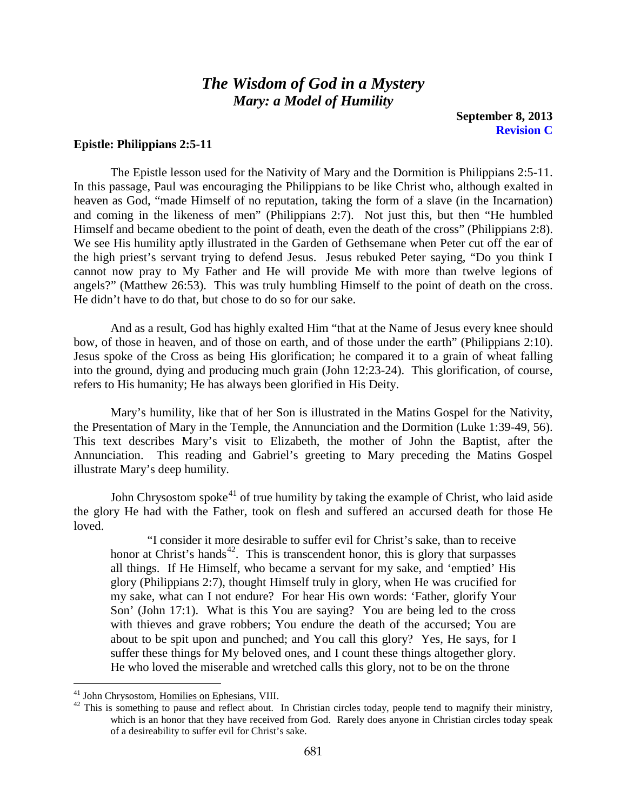### *The Wisdom of God in a Mystery Mary: a Model of Humility*

**September 8, 2013 Revision C**

#### <span id="page-12-0"></span>**Epistle: Philippians 2:5-11**

The Epistle lesson used for the Nativity of Mary and the Dormition is Philippians 2:5-11. In this passage, Paul was encouraging the Philippians to be like Christ who, although exalted in heaven as God, "made Himself of no reputation, taking the form of a slave (in the Incarnation) and coming in the likeness of men" (Philippians 2:7). Not just this, but then "He humbled Himself and became obedient to the point of death, even the death of the cross" (Philippians 2:8). We see His humility aptly illustrated in the Garden of Gethsemane when Peter cut off the ear of the high priest's servant trying to defend Jesus. Jesus rebuked Peter saying, "Do you think I cannot now pray to My Father and He will provide Me with more than twelve legions of angels?" (Matthew 26:53). This was truly humbling Himself to the point of death on the cross. He didn't have to do that, but chose to do so for our sake.

And as a result, God has highly exalted Him "that at the Name of Jesus every knee should bow, of those in heaven, and of those on earth, and of those under the earth" (Philippians 2:10). Jesus spoke of the Cross as being His glorification; he compared it to a grain of wheat falling into the ground, dying and producing much grain (John 12:23-24). This glorification, of course, refers to His humanity; He has always been glorified in His Deity.

Mary's humility, like that of her Son is illustrated in the Matins Gospel for the Nativity, the Presentation of Mary in the Temple, the Annunciation and the Dormition (Luke 1:39-49, 56). This text describes Mary's visit to Elizabeth, the mother of John the Baptist, after the Annunciation. This reading and Gabriel's greeting to Mary preceding the Matins Gospel illustrate Mary's deep humility.

John Chrysostom spoke<sup>[41](#page-12-1)</sup> of true humility by taking the example of Christ, who laid aside the glory He had with the Father, took on flesh and suffered an accursed death for those He loved.

"I consider it more desirable to suffer evil for Christ's sake, than to receive honor at Christ's hands<sup>[42](#page-12-2)</sup>. This is transcendent honor, this is glory that surpasses all things. If He Himself, who became a servant for my sake, and 'emptied' His glory (Philippians 2:7), thought Himself truly in glory, when He was crucified for my sake, what can I not endure? For hear His own words: 'Father, glorify Your Son' (John 17:1). What is this You are saying? You are being led to the cross with thieves and grave robbers; You endure the death of the accursed; You are about to be spit upon and punched; and You call this glory? Yes, He says, for I suffer these things for My beloved ones, and I count these things altogether glory. He who loved the miserable and wretched calls this glory, not to be on the throne

<span id="page-12-1"></span><sup>&</sup>lt;sup>41</sup> John Chrysostom, Homilies on Ephesians, VIII.

<span id="page-12-2"></span> $42$  This is something to pause and reflect about. In Christian circles today, people tend to magnify their ministry, which is an honor that they have received from God. Rarely does anyone in Christian circles today speak of a desireability to suffer evil for Christ's sake.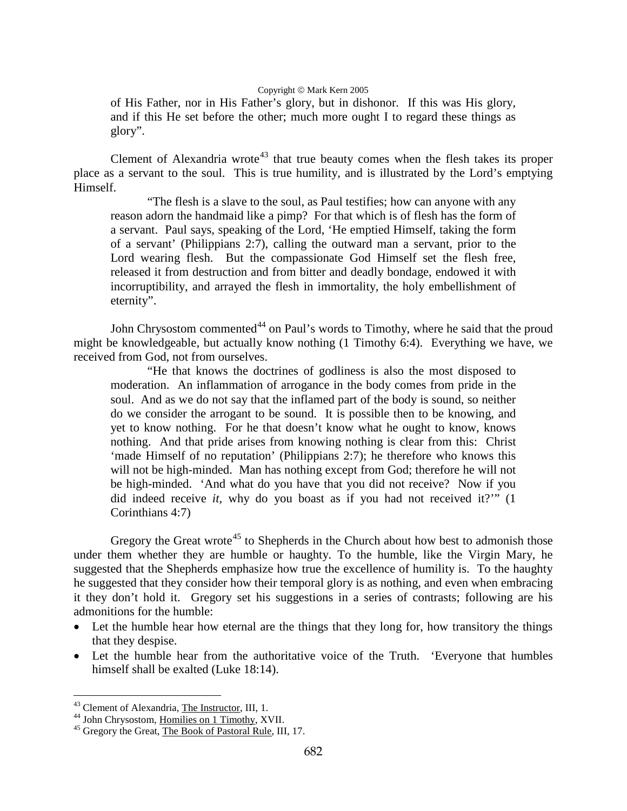#### Copyright © Mark Kern 2005

of His Father, nor in His Father's glory, but in dishonor. If this was His glory, and if this He set before the other; much more ought I to regard these things as glory".

Clement of Alexandria wrote<sup>[43](#page-13-0)</sup> that true beauty comes when the flesh takes its proper place as a servant to the soul. This is true humility, and is illustrated by the Lord's emptying Himself.

"The flesh is a slave to the soul, as Paul testifies; how can anyone with any reason adorn the handmaid like a pimp? For that which is of flesh has the form of a servant. Paul says, speaking of the Lord, 'He emptied Himself, taking the form of a servant' (Philippians 2:7), calling the outward man a servant, prior to the Lord wearing flesh. But the compassionate God Himself set the flesh free, released it from destruction and from bitter and deadly bondage, endowed it with incorruptibility, and arrayed the flesh in immortality, the holy embellishment of eternity".

John Chrysostom commented<sup>[44](#page-13-1)</sup> on Paul's words to Timothy, where he said that the proud might be knowledgeable, but actually know nothing (1 Timothy 6:4). Everything we have, we received from God, not from ourselves.

"He that knows the doctrines of godliness is also the most disposed to moderation. An inflammation of arrogance in the body comes from pride in the soul. And as we do not say that the inflamed part of the body is sound, so neither do we consider the arrogant to be sound. It is possible then to be knowing, and yet to know nothing. For he that doesn't know what he ought to know, knows nothing. And that pride arises from knowing nothing is clear from this: Christ 'made Himself of no reputation' (Philippians 2:7); he therefore who knows this will not be high-minded. Man has nothing except from God; therefore he will not be high-minded. 'And what do you have that you did not receive? Now if you did indeed receive *it,* why do you boast as if you had not received it?'" (1 Corinthians 4:7)

Gregory the Great wrote<sup>[45](#page-13-2)</sup> to Shepherds in the Church about how best to admonish those under them whether they are humble or haughty. To the humble, like the Virgin Mary, he suggested that the Shepherds emphasize how true the excellence of humility is. To the haughty he suggested that they consider how their temporal glory is as nothing, and even when embracing it they don't hold it. Gregory set his suggestions in a series of contrasts; following are his admonitions for the humble:

- Let the humble hear how eternal are the things that they long for, how transitory the things that they despise.
- Let the humble hear from the authoritative voice of the Truth. 'Everyone that humbles himself shall be exalted (Luke 18:14).

<span id="page-13-1"></span><span id="page-13-0"></span><sup>&</sup>lt;sup>43</sup> Clement of Alexandria, <u>The Instructor</u>, III, 1.<br><sup>44</sup> John Chrysostom, <u>Homilies on 1 Timothy</u>, XVII.<br><sup>45</sup> Gregory the Great, The Book of Pastoral Rule, III, 17.

<span id="page-13-2"></span>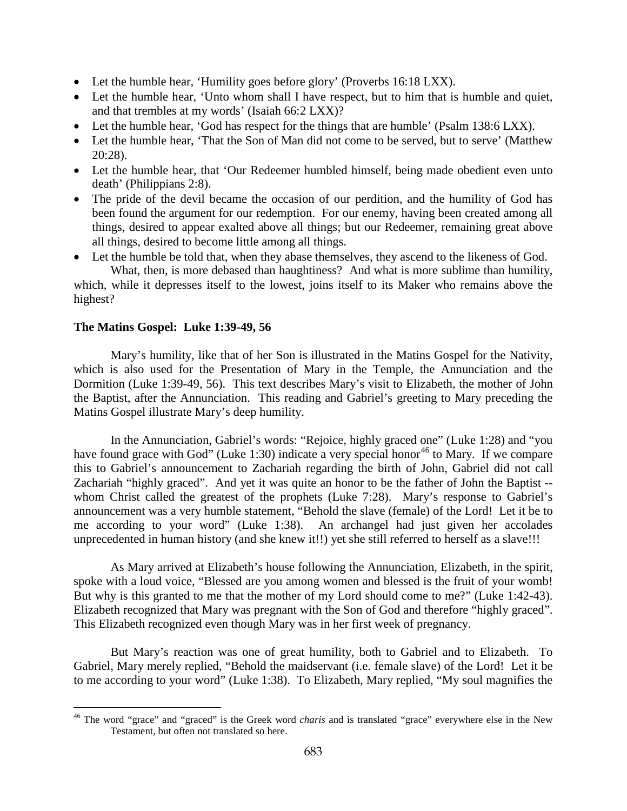- Let the humble hear, 'Humility goes before glory' (Proverbs 16:18 LXX).
- Let the humble hear, 'Unto whom shall I have respect, but to him that is humble and quiet, and that trembles at my words' (Isaiah 66:2 LXX)?
- Let the humble hear, 'God has respect for the things that are humble' (Psalm 138:6 LXX).
- Let the humble hear, 'That the Son of Man did not come to be served, but to serve' (Matthew 20:28).
- Let the humble hear, that 'Our Redeemer humbled himself, being made obedient even unto death' (Philippians 2:8).
- The pride of the devil became the occasion of our perdition, and the humility of God has been found the argument for our redemption. For our enemy, having been created among all things, desired to appear exalted above all things; but our Redeemer, remaining great above all things, desired to become little among all things.
- Let the humble be told that, when they abase themselves, they ascend to the likeness of God.

What, then, is more debased than haughtiness? And what is more sublime than humility, which, while it depresses itself to the lowest, joins itself to its Maker who remains above the highest?

#### <span id="page-14-0"></span>**The Matins Gospel: Luke 1:39-49, 56**

 $\overline{a}$ 

Mary's humility, like that of her Son is illustrated in the Matins Gospel for the Nativity, which is also used for the Presentation of Mary in the Temple, the Annunciation and the Dormition (Luke 1:39-49, 56). This text describes Mary's visit to Elizabeth, the mother of John the Baptist, after the Annunciation. This reading and Gabriel's greeting to Mary preceding the Matins Gospel illustrate Mary's deep humility.

In the Annunciation, Gabriel's words: "Rejoice, highly graced one" (Luke 1:28) and "you have found grace with God" (Luke 1:30) indicate a very special honor<sup>[46](#page-14-1)</sup> to Mary. If we compare this to Gabriel's announcement to Zachariah regarding the birth of John, Gabriel did not call Zachariah "highly graced". And yet it was quite an honor to be the father of John the Baptist - whom Christ called the greatest of the prophets (Luke 7:28). Mary's response to Gabriel's announcement was a very humble statement, "Behold the slave (female) of the Lord! Let it be to me according to your word" (Luke 1:38). An archangel had just given her accolades unprecedented in human history (and she knew it!!) yet she still referred to herself as a slave!!!

As Mary arrived at Elizabeth's house following the Annunciation, Elizabeth, in the spirit, spoke with a loud voice, "Blessed are you among women and blessed is the fruit of your womb! But why is this granted to me that the mother of my Lord should come to me?" (Luke 1:42-43). Elizabeth recognized that Mary was pregnant with the Son of God and therefore "highly graced". This Elizabeth recognized even though Mary was in her first week of pregnancy.

But Mary's reaction was one of great humility, both to Gabriel and to Elizabeth. To Gabriel, Mary merely replied, "Behold the maidservant (i.e. female slave) of the Lord! Let it be to me according to your word" (Luke 1:38). To Elizabeth, Mary replied, "My soul magnifies the

<span id="page-14-1"></span><sup>46</sup> The word "grace" and "graced" is the Greek word *charis* and is translated "grace" everywhere else in the New Testament, but often not translated so here.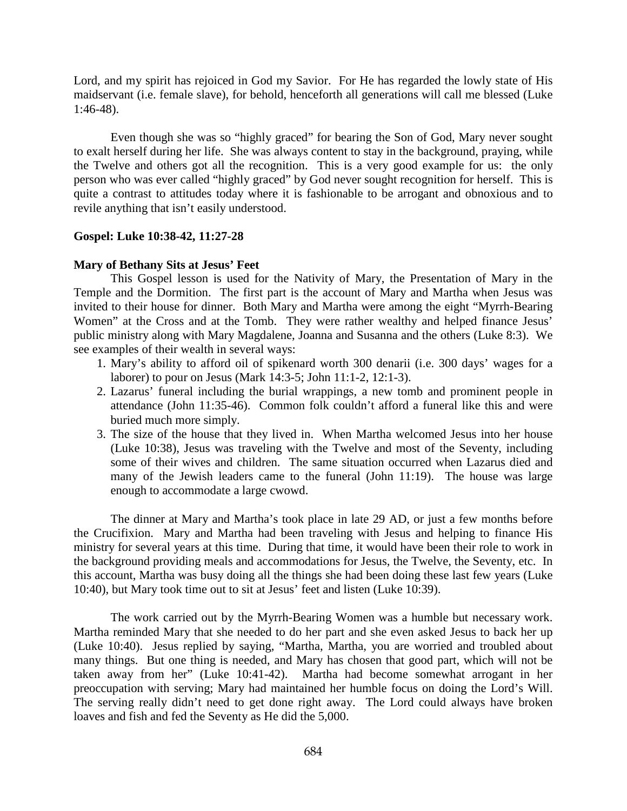Lord, and my spirit has rejoiced in God my Savior. For He has regarded the lowly state of His maidservant (i.e. female slave), for behold, henceforth all generations will call me blessed (Luke 1:46-48).

Even though she was so "highly graced" for bearing the Son of God, Mary never sought to exalt herself during her life. She was always content to stay in the background, praying, while the Twelve and others got all the recognition. This is a very good example for us: the only person who was ever called "highly graced" by God never sought recognition for herself. This is quite a contrast to attitudes today where it is fashionable to be arrogant and obnoxious and to revile anything that isn't easily understood.

#### <span id="page-15-0"></span>**Gospel: Luke 10:38-42, 11:27-28**

#### <span id="page-15-1"></span>**Mary of Bethany Sits at Jesus' Feet**

This Gospel lesson is used for the Nativity of Mary, the Presentation of Mary in the Temple and the Dormition. The first part is the account of Mary and Martha when Jesus was invited to their house for dinner. Both Mary and Martha were among the eight "Myrrh-Bearing Women" at the Cross and at the Tomb. They were rather wealthy and helped finance Jesus' public ministry along with Mary Magdalene, Joanna and Susanna and the others (Luke 8:3). We see examples of their wealth in several ways:

- 1. Mary's ability to afford oil of spikenard worth 300 denarii (i.e. 300 days' wages for a laborer) to pour on Jesus (Mark 14:3-5; John 11:1-2, 12:1-3).
- 2. Lazarus' funeral including the burial wrappings, a new tomb and prominent people in attendance (John 11:35-46). Common folk couldn't afford a funeral like this and were buried much more simply.
- 3. The size of the house that they lived in. When Martha welcomed Jesus into her house (Luke 10:38), Jesus was traveling with the Twelve and most of the Seventy, including some of their wives and children. The same situation occurred when Lazarus died and many of the Jewish leaders came to the funeral (John 11:19). The house was large enough to accommodate a large cwowd.

The dinner at Mary and Martha's took place in late 29 AD, or just a few months before the Crucifixion. Mary and Martha had been traveling with Jesus and helping to finance His ministry for several years at this time. During that time, it would have been their role to work in the background providing meals and accommodations for Jesus, the Twelve, the Seventy, etc. In this account, Martha was busy doing all the things she had been doing these last few years (Luke 10:40), but Mary took time out to sit at Jesus' feet and listen (Luke 10:39).

The work carried out by the Myrrh-Bearing Women was a humble but necessary work. Martha reminded Mary that she needed to do her part and she even asked Jesus to back her up (Luke 10:40). Jesus replied by saying, "Martha, Martha, you are worried and troubled about many things. But one thing is needed, and Mary has chosen that good part, which will not be taken away from her" (Luke 10:41-42). Martha had become somewhat arrogant in her preoccupation with serving; Mary had maintained her humble focus on doing the Lord's Will. The serving really didn't need to get done right away. The Lord could always have broken loaves and fish and fed the Seventy as He did the 5,000.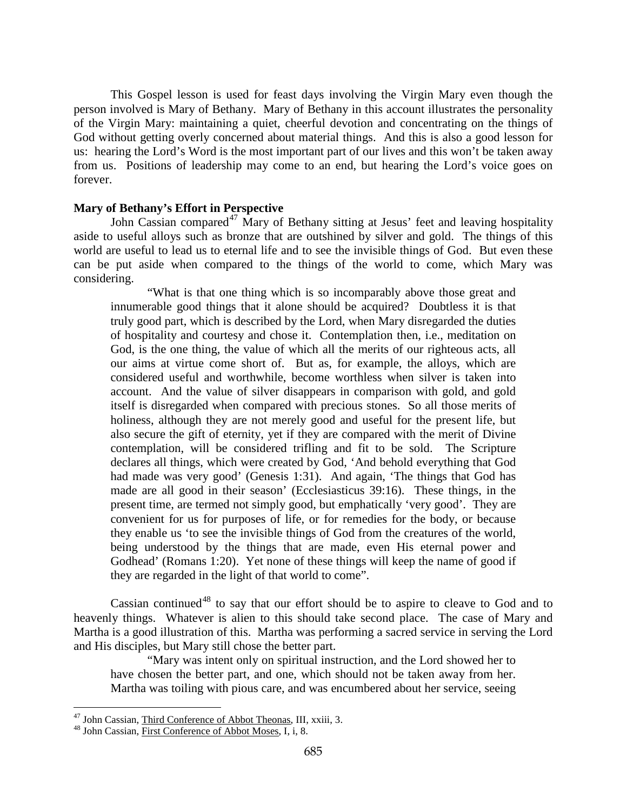This Gospel lesson is used for feast days involving the Virgin Mary even though the person involved is Mary of Bethany. Mary of Bethany in this account illustrates the personality of the Virgin Mary: maintaining a quiet, cheerful devotion and concentrating on the things of God without getting overly concerned about material things. And this is also a good lesson for us: hearing the Lord's Word is the most important part of our lives and this won't be taken away from us.Positions of leadership may come to an end, but hearing the Lord's voice goes on forever.

#### <span id="page-16-0"></span>**Mary of Bethany's Effort in Perspective**

John Cassian compared<sup>[47](#page-16-1)</sup> Mary of Bethany sitting at Jesus' feet and leaving hospitality aside to useful alloys such as bronze that are outshined by silver and gold. The things of this world are useful to lead us to eternal life and to see the invisible things of God. But even these can be put aside when compared to the things of the world to come, which Mary was considering.

"What is that one thing which is so incomparably above those great and innumerable good things that it alone should be acquired? Doubtless it is that truly good part, which is described by the Lord, when Mary disregarded the duties of hospitality and courtesy and chose it. Contemplation then, i.e., meditation on God, is the one thing, the value of which all the merits of our righteous acts, all our aims at virtue come short of. But as, for example, the alloys, which are considered useful and worthwhile, become worthless when silver is taken into account. And the value of silver disappears in comparison with gold, and gold itself is disregarded when compared with precious stones. So all those merits of holiness, although they are not merely good and useful for the present life, but also secure the gift of eternity, yet if they are compared with the merit of Divine contemplation, will be considered trifling and fit to be sold. The Scripture declares all things, which were created by God, 'And behold everything that God had made was very good' (Genesis 1:31). And again, 'The things that God has made are all good in their season' (Ecclesiasticus 39:16). These things, in the present time, are termed not simply good, but emphatically 'very good'. They are convenient for us for purposes of life, or for remedies for the body, or because they enable us 'to see the invisible things of God from the creatures of the world, being understood by the things that are made, even His eternal power and Godhead' (Romans 1:20). Yet none of these things will keep the name of good if they are regarded in the light of that world to come".

Cassian continued<sup>[48](#page-16-2)</sup> to say that our effort should be to aspire to cleave to God and to heavenly things. Whatever is alien to this should take second place. The case of Mary and Martha is a good illustration of this. Martha was performing a sacred service in serving the Lord and His disciples, but Mary still chose the better part.

"Mary was intent only on spiritual instruction, and the Lord showed her to have chosen the better part, and one, which should not be taken away from her. Martha was toiling with pious care, and was encumbered about her service, seeing

<span id="page-16-1"></span><sup>&</sup>lt;sup>47</sup> John Cassian, Third Conference of Abbot Theonas, III, xxiii, 3.

<span id="page-16-2"></span><sup>&</sup>lt;sup>48</sup> John Cassian, First Conference of Abbot Moses, I, i, 8.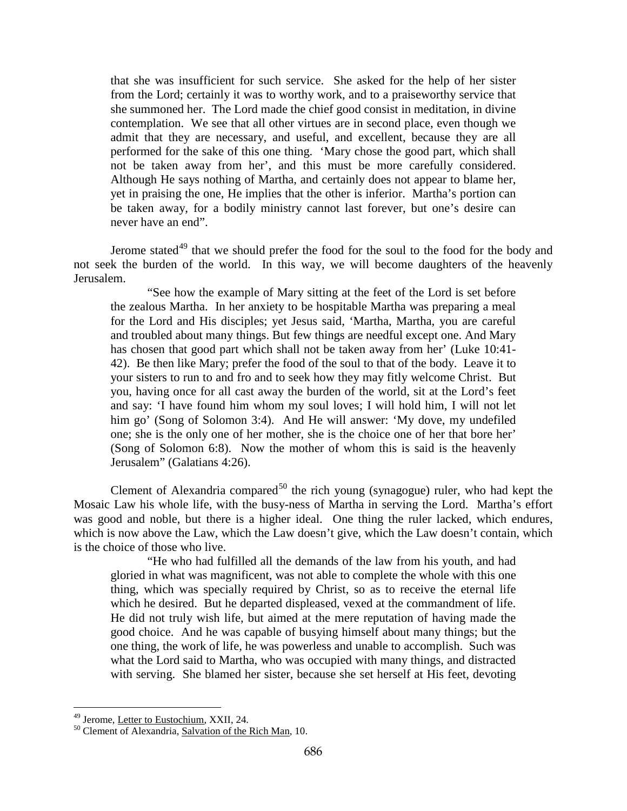that she was insufficient for such service. She asked for the help of her sister from the Lord; certainly it was to worthy work, and to a praiseworthy service that she summoned her. The Lord made the chief good consist in meditation, in divine contemplation. We see that all other virtues are in second place, even though we admit that they are necessary, and useful, and excellent, because they are all performed for the sake of this one thing. 'Mary chose the good part, which shall not be taken away from her', and this must be more carefully considered. Although He says nothing of Martha, and certainly does not appear to blame her, yet in praising the one, He implies that the other is inferior. Martha's portion can be taken away, for a bodily ministry cannot last forever, but one's desire can never have an end".

Jerome stated<sup>[49](#page-17-0)</sup> that we should prefer the food for the soul to the food for the body and not seek the burden of the world. In this way, we will become daughters of the heavenly Jerusalem.

"See how the example of Mary sitting at the feet of the Lord is set before the zealous Martha. In her anxiety to be hospitable Martha was preparing a meal for the Lord and His disciples; yet Jesus said, 'Martha, Martha, you are careful and troubled about many things. But few things are needful except one. And Mary has chosen that good part which shall not be taken away from her' (Luke 10:41- 42). Be then like Mary; prefer the food of the soul to that of the body. Leave it to your sisters to run to and fro and to seek how they may fitly welcome Christ. But you, having once for all cast away the burden of the world, sit at the Lord's feet and say: 'I have found him whom my soul loves; I will hold him, I will not let him go' (Song of Solomon 3:4). And He will answer: 'My dove, my undefiled one; she is the only one of her mother, she is the choice one of her that bore her' (Song of Solomon 6:8). Now the mother of whom this is said is the heavenly Jerusalem" (Galatians 4:26).

Clement of Alexandria compared<sup>[50](#page-17-1)</sup> the rich young (synagogue) ruler, who had kept the Mosaic Law his whole life, with the busy-ness of Martha in serving the Lord. Martha's effort was good and noble, but there is a higher ideal. One thing the ruler lacked, which endures, which is now above the Law, which the Law doesn't give, which the Law doesn't contain, which is the choice of those who live.

"He who had fulfilled all the demands of the law from his youth, and had gloried in what was magnificent, was not able to complete the whole with this one thing, which was specially required by Christ, so as to receive the eternal life which he desired. But he departed displeased, vexed at the commandment of life. He did not truly wish life, but aimed at the mere reputation of having made the good choice. And he was capable of busying himself about many things; but the one thing, the work of life, he was powerless and unable to accomplish. Such was what the Lord said to Martha, who was occupied with many things, and distracted with serving. She blamed her sister, because she set herself at His feet, devoting

<span id="page-17-0"></span><sup>&</sup>lt;sup>49</sup> Jerome, Letter to Eustochium, XXII, 24.

<span id="page-17-1"></span><sup>&</sup>lt;sup>50</sup> Clement of Alexandria, Salvation of the Rich Man, 10.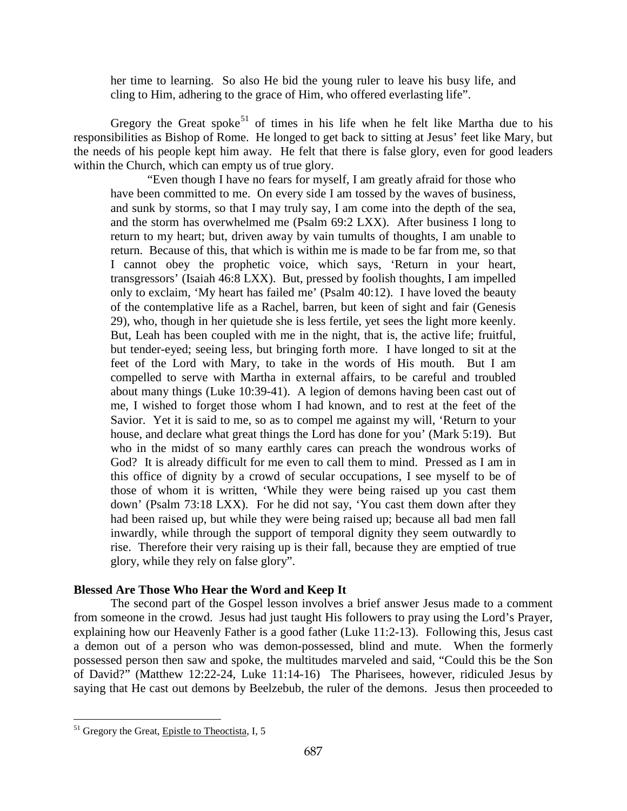her time to learning. So also He bid the young ruler to leave his busy life, and cling to Him, adhering to the grace of Him, who offered everlasting life".

Gregory the Great spoke<sup>[51](#page-18-1)</sup> of times in his life when he felt like Martha due to his responsibilities as Bishop of Rome. He longed to get back to sitting at Jesus' feet like Mary, but the needs of his people kept him away. He felt that there is false glory, even for good leaders within the Church, which can empty us of true glory.

"Even though I have no fears for myself, I am greatly afraid for those who have been committed to me. On every side I am tossed by the waves of business, and sunk by storms, so that I may truly say, I am come into the depth of the sea, and the storm has overwhelmed me (Psalm 69:2 LXX). After business I long to return to my heart; but, driven away by vain tumults of thoughts, I am unable to return. Because of this, that which is within me is made to be far from me, so that I cannot obey the prophetic voice, which says, 'Return in your heart, transgressors' (Isaiah 46:8 LXX). But, pressed by foolish thoughts, I am impelled only to exclaim, 'My heart has failed me' (Psalm 40:12). I have loved the beauty of the contemplative life as a Rachel, barren, but keen of sight and fair (Genesis 29), who, though in her quietude she is less fertile, yet sees the light more keenly. But, Leah has been coupled with me in the night, that is, the active life; fruitful, but tender-eyed; seeing less, but bringing forth more. I have longed to sit at the feet of the Lord with Mary, to take in the words of His mouth. But I am compelled to serve with Martha in external affairs, to be careful and troubled about many things (Luke 10:39-41). A legion of demons having been cast out of me, I wished to forget those whom I had known, and to rest at the feet of the Savior. Yet it is said to me, so as to compel me against my will, 'Return to your house, and declare what great things the Lord has done for you' (Mark 5:19). But who in the midst of so many earthly cares can preach the wondrous works of God? It is already difficult for me even to call them to mind. Pressed as I am in this office of dignity by a crowd of secular occupations, I see myself to be of those of whom it is written, 'While they were being raised up you cast them down' (Psalm 73:18 LXX). For he did not say, 'You cast them down after they had been raised up, but while they were being raised up; because all bad men fall inwardly, while through the support of temporal dignity they seem outwardly to rise. Therefore their very raising up is their fall, because they are emptied of true glory, while they rely on false glory".

#### <span id="page-18-0"></span>**Blessed Are Those Who Hear the Word and Keep It**

The second part of the Gospel lesson involves a brief answer Jesus made to a comment from someone in the crowd. Jesus had just taught His followers to pray using the Lord's Prayer, explaining how our Heavenly Father is a good father (Luke 11:2-13). Following this, Jesus cast a demon out of a person who was demon-possessed, blind and mute. When the formerly possessed person then saw and spoke, the multitudes marveled and said, "Could this be the Son of David?" (Matthew 12:22-24, Luke 11:14-16) The Pharisees, however, ridiculed Jesus by saying that He cast out demons by Beelzebub, the ruler of the demons. Jesus then proceeded to

<span id="page-18-1"></span><sup>&</sup>lt;sup>51</sup> Gregory the Great, **Epistle to Theoctista**, I, 5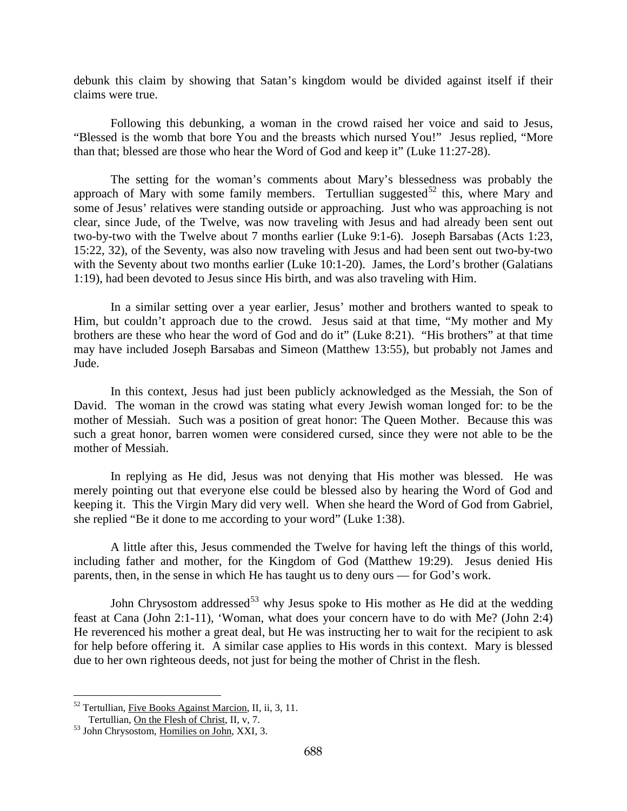debunk this claim by showing that Satan's kingdom would be divided against itself if their claims were true.

Following this debunking, a woman in the crowd raised her voice and said to Jesus, "Blessed is the womb that bore You and the breasts which nursed You!" Jesus replied, "More than that; blessed are those who hear the Word of God and keep it" (Luke 11:27-28).

The setting for the woman's comments about Mary's blessedness was probably the approach of Mary with some family members. Tertullian suggested<sup>[52](#page-19-0)</sup> this, where Mary and some of Jesus' relatives were standing outside or approaching. Just who was approaching is not clear, since Jude, of the Twelve, was now traveling with Jesus and had already been sent out two-by-two with the Twelve about 7 months earlier (Luke 9:1-6). Joseph Barsabas (Acts 1:23, 15:22, 32), of the Seventy, was also now traveling with Jesus and had been sent out two-by-two with the Seventy about two months earlier (Luke 10:1-20). James, the Lord's brother (Galatians 1:19), had been devoted to Jesus since His birth, and was also traveling with Him.

In a similar setting over a year earlier, Jesus' mother and brothers wanted to speak to Him, but couldn't approach due to the crowd. Jesus said at that time, "My mother and My brothers are these who hear the word of God and do it" (Luke 8:21). "His brothers" at that time may have included Joseph Barsabas and Simeon (Matthew 13:55), but probably not James and Jude.

In this context, Jesus had just been publicly acknowledged as the Messiah, the Son of David. The woman in the crowd was stating what every Jewish woman longed for: to be the mother of Messiah. Such was a position of great honor: The Queen Mother. Because this was such a great honor, barren women were considered cursed, since they were not able to be the mother of Messiah.

In replying as He did, Jesus was not denying that His mother was blessed. He was merely pointing out that everyone else could be blessed also by hearing the Word of God and keeping it. This the Virgin Mary did very well. When she heard the Word of God from Gabriel, she replied "Be it done to me according to your word" (Luke 1:38).

A little after this, Jesus commended the Twelve for having left the things of this world, including father and mother, for the Kingdom of God (Matthew 19:29). Jesus denied His parents, then, in the sense in which He has taught us to deny ours — for God's work.

John Chrysostom addressed<sup>[53](#page-19-1)</sup> why Jesus spoke to His mother as He did at the wedding feast at Cana (John 2:1-11), 'Woman, what does your concern have to do with Me? (John 2:4) He reverenced his mother a great deal, but He was instructing her to wait for the recipient to ask for help before offering it. A similar case applies to His words in this context. Mary is blessed due to her own righteous deeds, not just for being the mother of Christ in the flesh.

<span id="page-19-0"></span><sup>&</sup>lt;sup>52</sup> Tertullian, <u>Five Books Against Marcion</u>, II, ii, 3, 11.<br>Tertullian, On the Flesh of Christ, II, v, 7.

<span id="page-19-1"></span> $53$  John Chrysostom, Homilies on John, XXI, 3.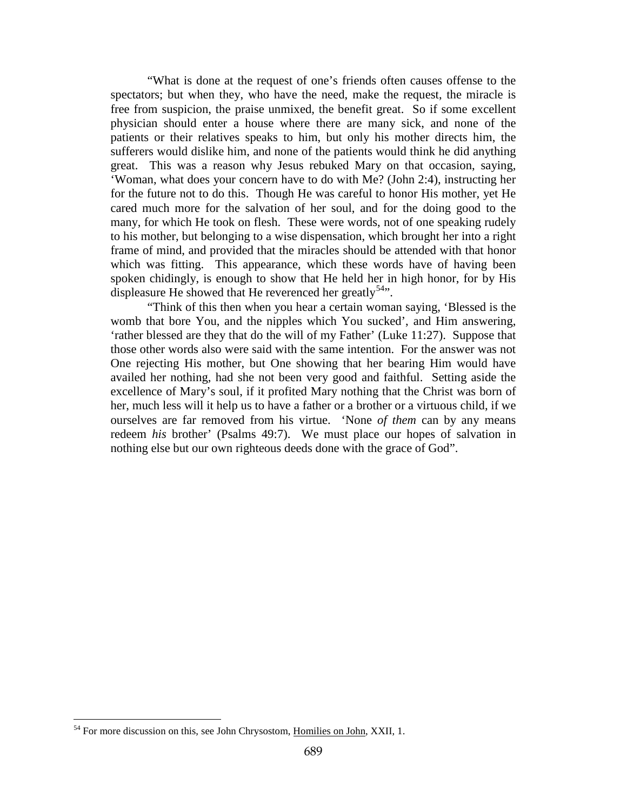"What is done at the request of one's friends often causes offense to the spectators; but when they, who have the need, make the request, the miracle is free from suspicion, the praise unmixed, the benefit great. So if some excellent physician should enter a house where there are many sick, and none of the patients or their relatives speaks to him, but only his mother directs him, the sufferers would dislike him, and none of the patients would think he did anything great. This was a reason why Jesus rebuked Mary on that occasion, saying, 'Woman, what does your concern have to do with Me? (John 2:4), instructing her for the future not to do this. Though He was careful to honor His mother, yet He cared much more for the salvation of her soul, and for the doing good to the many, for which He took on flesh. These were words, not of one speaking rudely to his mother, but belonging to a wise dispensation, which brought her into a right frame of mind, and provided that the miracles should be attended with that honor which was fitting. This appearance, which these words have of having been spoken chidingly, is enough to show that He held her in high honor, for by His displeasure He showed that He reverenced her greatly<sup>54</sup>.

<span id="page-20-0"></span>"Think of this then when you hear a certain woman saying, 'Blessed is the womb that bore You, and the nipples which You sucked', and Him answering, 'rather blessed are they that do the will of my Father' (Luke 11:27). Suppose that those other words also were said with the same intention. For the answer was not One rejecting His mother, but One showing that her bearing Him would have availed her nothing, had she not been very good and faithful. Setting aside the excellence of Mary's soul, if it profited Mary nothing that the Christ was born of her, much less will it help us to have a father or a brother or a virtuous child, if we ourselves are far removed from his virtue. 'None *of them* can by any means redeem *his* brother' (Psalms 49:7). We must place our hopes of salvation in nothing else but our own righteous deeds done with the grace of God".

<span id="page-20-1"></span><sup>&</sup>lt;sup>54</sup> For more discussion on this, see John Chrysostom, Homilies on John, XXII, 1.